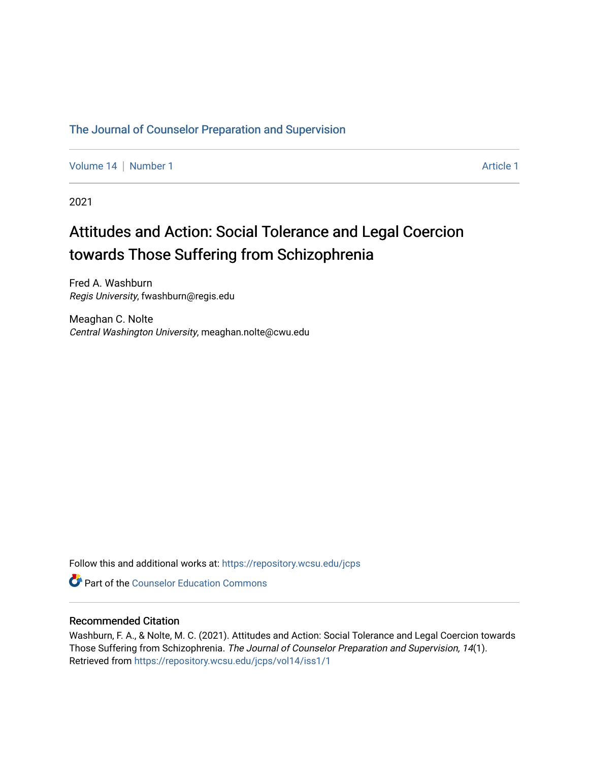# [The Journal of Counselor Preparation and Supervision](https://repository.wcsu.edu/jcps)

[Volume 14](https://repository.wcsu.edu/jcps/vol14) | [Number 1](https://repository.wcsu.edu/jcps/vol14/iss1) Article 1

2021

# Attitudes and Action: Social Tolerance and Legal Coercion towards Those Suffering from Schizophrenia

Fred A. Washburn Regis University, fwashburn@regis.edu

Meaghan C. Nolte Central Washington University, meaghan.nolte@cwu.edu

Follow this and additional works at: [https://repository.wcsu.edu/jcps](https://repository.wcsu.edu/jcps?utm_source=repository.wcsu.edu%2Fjcps%2Fvol14%2Fiss1%2F1&utm_medium=PDF&utm_campaign=PDFCoverPages) 

**C** Part of the Counselor Education Commons

# Recommended Citation

Washburn, F. A., & Nolte, M. C. (2021). Attitudes and Action: Social Tolerance and Legal Coercion towards Those Suffering from Schizophrenia. The Journal of Counselor Preparation and Supervision, 14(1). Retrieved from [https://repository.wcsu.edu/jcps/vol14/iss1/1](https://repository.wcsu.edu/jcps/vol14/iss1/1?utm_source=repository.wcsu.edu%2Fjcps%2Fvol14%2Fiss1%2F1&utm_medium=PDF&utm_campaign=PDFCoverPages)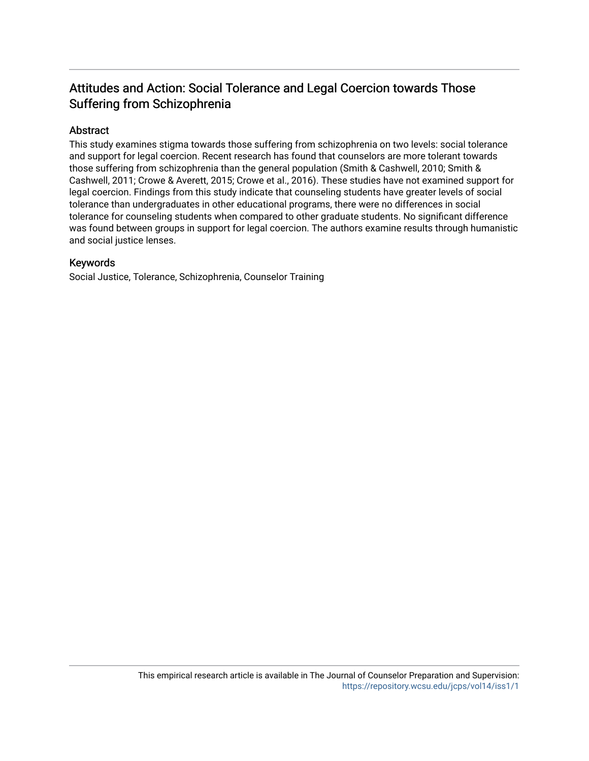# Attitudes and Action: Social Tolerance and Legal Coercion towards Those Suffering from Schizophrenia

# Abstract

This study examines stigma towards those suffering from schizophrenia on two levels: social tolerance and support for legal coercion. Recent research has found that counselors are more tolerant towards those suffering from schizophrenia than the general population (Smith & Cashwell, 2010; Smith & Cashwell, 2011; Crowe & Averett, 2015; Crowe et al., 2016). These studies have not examined support for legal coercion. Findings from this study indicate that counseling students have greater levels of social tolerance than undergraduates in other educational programs, there were no differences in social tolerance for counseling students when compared to other graduate students. No significant difference was found between groups in support for legal coercion. The authors examine results through humanistic and social justice lenses.

# Keywords

Social Justice, Tolerance, Schizophrenia, Counselor Training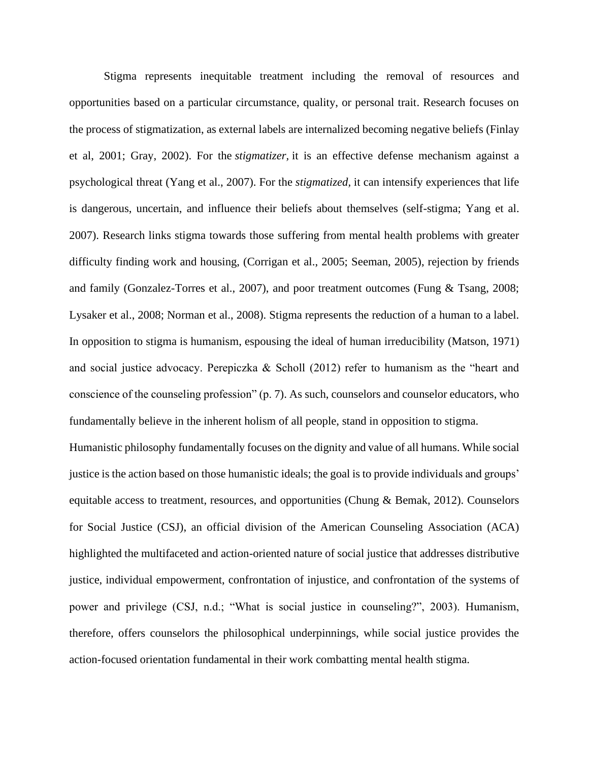Stigma represents inequitable treatment including the removal of resources and opportunities based on a particular circumstance, quality, or personal trait. Research focuses on the process of stigmatization, as external labels are internalized becoming negative beliefs (Finlay et al, 2001; Gray, 2002). For the *stigmatizer,* it is an effective defense mechanism against a psychological threat (Yang et al., 2007). For the *stigmatized,* it can intensify experiences that life is dangerous, uncertain, and influence their beliefs about themselves (self-stigma; Yang et al. 2007). Research links stigma towards those suffering from mental health problems with greater difficulty finding work and housing, (Corrigan et al., 2005; Seeman, 2005), rejection by friends and family (Gonzalez-Torres et al., 2007), and poor treatment outcomes (Fung & Tsang, 2008; Lysaker et al., 2008; Norman et al., 2008). Stigma represents the reduction of a human to a label. In opposition to stigma is humanism, espousing the ideal of human irreducibility (Matson, 1971) and social justice advocacy. Perepiczka & Scholl  $(2012)$  refer to humanism as the "heart and conscience of the counseling profession" (p. 7). As such, counselors and counselor educators, who fundamentally believe in the inherent holism of all people, stand in opposition to stigma.

Humanistic philosophy fundamentally focuses on the dignity and value of all humans. While social justice is the action based on those humanistic ideals; the goal is to provide individuals and groups' equitable access to treatment, resources, and opportunities (Chung & Bemak, 2012). Counselors for Social Justice (CSJ), an official division of the American Counseling Association (ACA) highlighted the multifaceted and action-oriented nature of social justice that addresses distributive justice, individual empowerment, confrontation of injustice, and confrontation of the systems of power and privilege (CSJ, n.d.; "What is social justice in counseling?", 2003). Humanism, therefore, offers counselors the philosophical underpinnings, while social justice provides the action-focused orientation fundamental in their work combatting mental health stigma.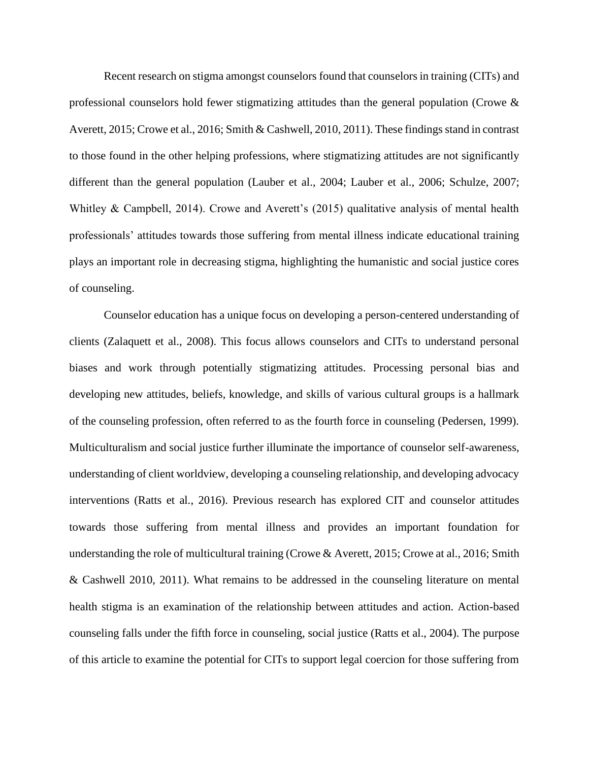Recent research on stigma amongst counselors found that counselors in training (CITs) and professional counselors hold fewer stigmatizing attitudes than the general population (Crowe & Averett, 2015; Crowe et al., 2016; Smith & Cashwell, 2010, 2011). These findings stand in contrast to those found in the other helping professions, where stigmatizing attitudes are not significantly different than the general population (Lauber et al., 2004; Lauber et al., 2006; Schulze, 2007; Whitley & Campbell, 2014). Crowe and Averett's (2015) qualitative analysis of mental health professionals' attitudes towards those suffering from mental illness indicate educational training plays an important role in decreasing stigma, highlighting the humanistic and social justice cores of counseling.

Counselor education has a unique focus on developing a person-centered understanding of clients (Zalaquett et al., 2008). This focus allows counselors and CITs to understand personal biases and work through potentially stigmatizing attitudes. Processing personal bias and developing new attitudes, beliefs, knowledge, and skills of various cultural groups is a hallmark of the counseling profession, often referred to as the fourth force in counseling (Pedersen, 1999). Multiculturalism and social justice further illuminate the importance of counselor self-awareness, understanding of client worldview, developing a counseling relationship, and developing advocacy interventions (Ratts et al., 2016). Previous research has explored CIT and counselor attitudes towards those suffering from mental illness and provides an important foundation for understanding the role of multicultural training (Crowe & Averett, 2015; Crowe at al., 2016; Smith & Cashwell 2010, 2011). What remains to be addressed in the counseling literature on mental health stigma is an examination of the relationship between attitudes and action. Action-based counseling falls under the fifth force in counseling, social justice (Ratts et al., 2004). The purpose of this article to examine the potential for CITs to support legal coercion for those suffering from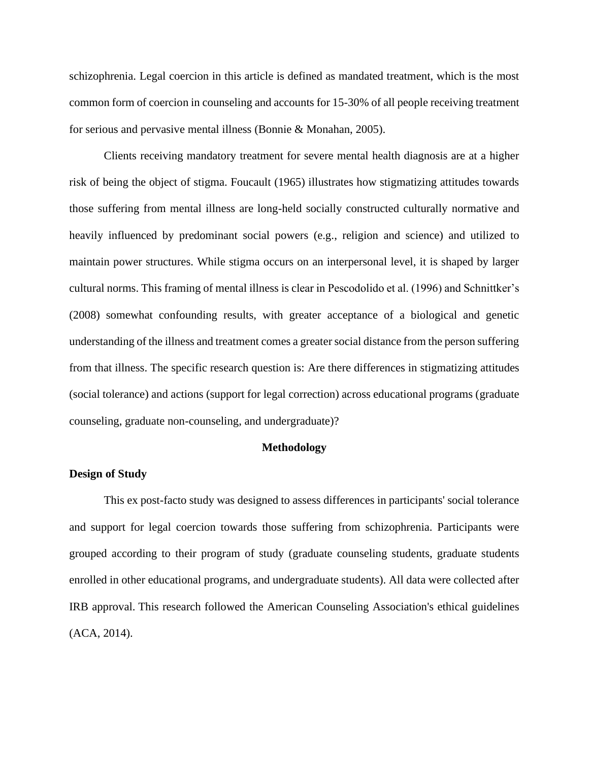schizophrenia. Legal coercion in this article is defined as mandated treatment, which is the most common form of coercion in counseling and accounts for 15-30% of all people receiving treatment for serious and pervasive mental illness (Bonnie & Monahan, 2005).

Clients receiving mandatory treatment for severe mental health diagnosis are at a higher risk of being the object of stigma. Foucault (1965) illustrates how stigmatizing attitudes towards those suffering from mental illness are long-held socially constructed culturally normative and heavily influenced by predominant social powers (e.g., religion and science) and utilized to maintain power structures. While stigma occurs on an interpersonal level, it is shaped by larger cultural norms. This framing of mental illness is clear in Pescodolido et al. (1996) and Schnittker's (2008) somewhat confounding results, with greater acceptance of a biological and genetic understanding of the illness and treatment comes a greater social distance from the person suffering from that illness. The specific research question is: Are there differences in stigmatizing attitudes (social tolerance) and actions (support for legal correction) across educational programs (graduate counseling, graduate non-counseling, and undergraduate)?

# **Methodology**

# **Design of Study**

This ex post-facto study was designed to assess differences in participants' social tolerance and support for legal coercion towards those suffering from schizophrenia. Participants were grouped according to their program of study (graduate counseling students, graduate students enrolled in other educational programs, and undergraduate students). All data were collected after IRB approval. This research followed the American Counseling Association's ethical guidelines (ACA, 2014).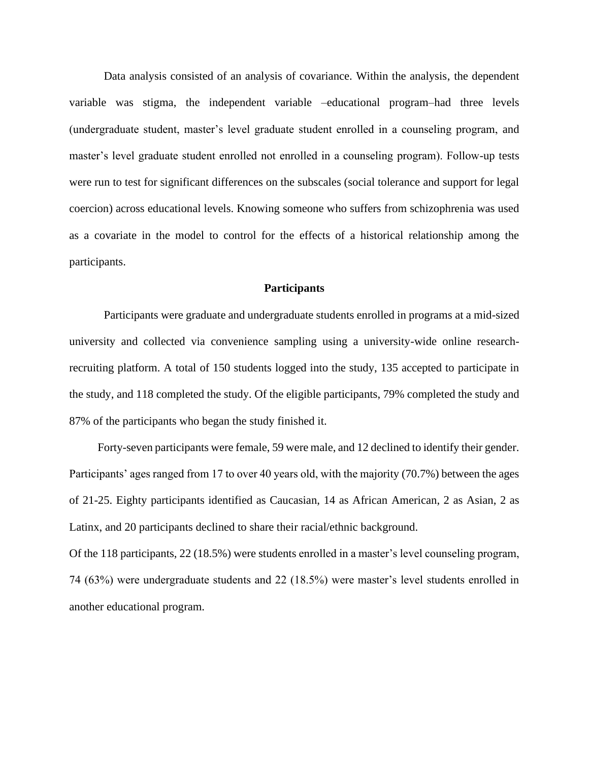Data analysis consisted of an analysis of covariance. Within the analysis, the dependent variable was stigma, the independent variable –educational program–had three levels (undergraduate student, master's level graduate student enrolled in a counseling program, and master's level graduate student enrolled not enrolled in a counseling program). Follow-up tests were run to test for significant differences on the subscales (social tolerance and support for legal coercion) across educational levels. Knowing someone who suffers from schizophrenia was used as a covariate in the model to control for the effects of a historical relationship among the participants.

# **Participants**

Participants were graduate and undergraduate students enrolled in programs at a mid-sized university and collected via convenience sampling using a university-wide online researchrecruiting platform. A total of 150 students logged into the study, 135 accepted to participate in the study, and 118 completed the study. Of the eligible participants, 79% completed the study and 87% of the participants who began the study finished it.

Forty-seven participants were female, 59 were male, and 12 declined to identify their gender. Participants' ages ranged from 17 to over 40 years old, with the majority (70.7%) between the ages of 21-25. Eighty participants identified as Caucasian, 14 as African American, 2 as Asian, 2 as Latinx, and 20 participants declined to share their racial/ethnic background.

Of the 118 participants, 22 (18.5%) were students enrolled in a master's level counseling program, 74 (63%) were undergraduate students and 22 (18.5%) were master's level students enrolled in another educational program.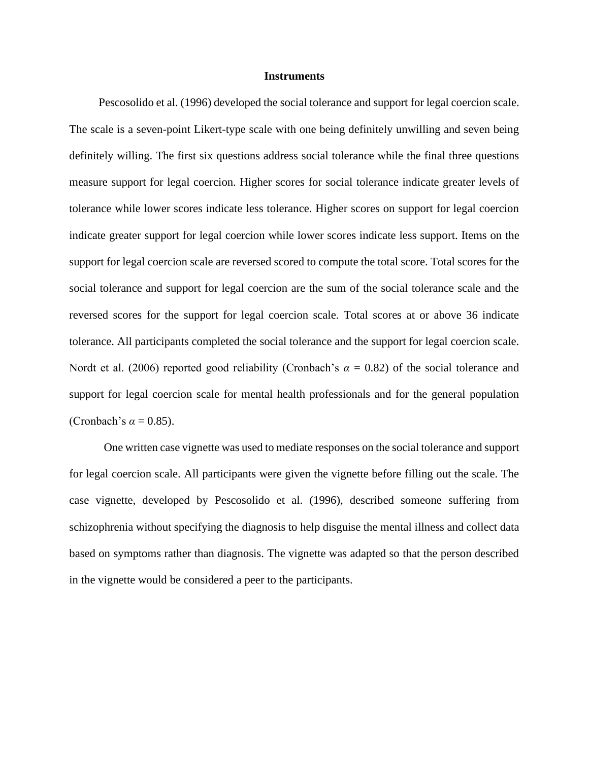# **Instruments**

Pescosolido et al. (1996) developed the social tolerance and support for legal coercion scale. The scale is a seven-point Likert-type scale with one being definitely unwilling and seven being definitely willing. The first six questions address social tolerance while the final three questions measure support for legal coercion. Higher scores for social tolerance indicate greater levels of tolerance while lower scores indicate less tolerance. Higher scores on support for legal coercion indicate greater support for legal coercion while lower scores indicate less support. Items on the support for legal coercion scale are reversed scored to compute the total score. Total scores for the social tolerance and support for legal coercion are the sum of the social tolerance scale and the reversed scores for the support for legal coercion scale. Total scores at or above 36 indicate tolerance. All participants completed the social tolerance and the support for legal coercion scale. Nordt et al. (2006) reported good reliability (Cronbach's  $\alpha = 0.82$ ) of the social tolerance and support for legal coercion scale for mental health professionals and for the general population (Cronbach's  $\alpha = 0.85$ ).

One written case vignette was used to mediate responses on the social tolerance and support for legal coercion scale. All participants were given the vignette before filling out the scale. The case vignette, developed by Pescosolido et al. (1996), described someone suffering from schizophrenia without specifying the diagnosis to help disguise the mental illness and collect data based on symptoms rather than diagnosis. The vignette was adapted so that the person described in the vignette would be considered a peer to the participants.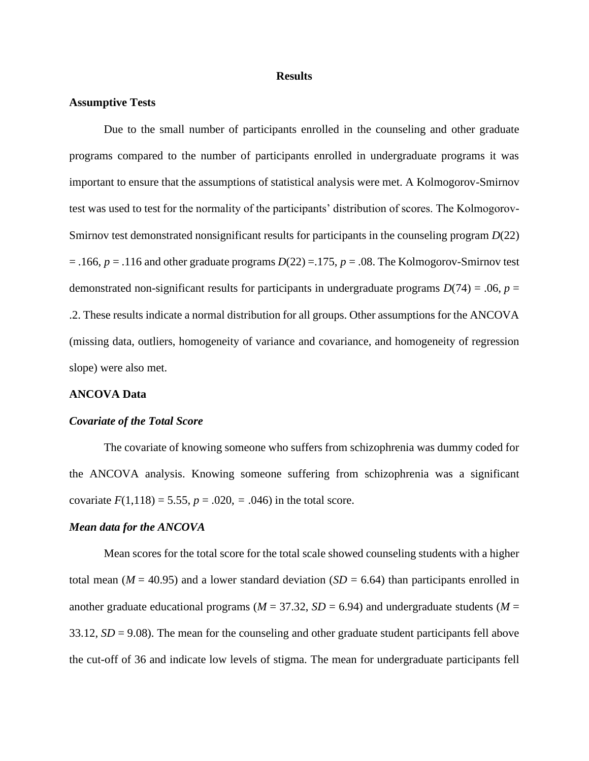# **Results**

# **Assumptive Tests**

Due to the small number of participants enrolled in the counseling and other graduate programs compared to the number of participants enrolled in undergraduate programs it was important to ensure that the assumptions of statistical analysis were met. A Kolmogorov-Smirnov test was used to test for the normality of the participants' distribution of scores. The Kolmogorov-Smirnov test demonstrated nonsignificant results for participants in the counseling program *D*(22)  $= .166$ ,  $p = .116$  and other graduate programs  $D(22) = .175$ ,  $p = .08$ . The Kolmogorov-Smirnov test demonstrated non-significant results for participants in undergraduate programs  $D(74) = .06$ ,  $p =$ .2. These results indicate a normal distribution for all groups. Other assumptions for the ANCOVA (missing data, outliers, homogeneity of variance and covariance, and homogeneity of regression slope) were also met.

# **ANCOVA Data**

#### *Covariate of the Total Score*

The covariate of knowing someone who suffers from schizophrenia was dummy coded for the ANCOVA analysis. Knowing someone suffering from schizophrenia was a significant covariate  $F(1,118) = 5.55$ ,  $p = .020$ ,  $= .046$ ) in the total score.

#### *Mean data for the ANCOVA*

Mean scores for the total score for the total scale showed counseling students with a higher total mean ( $M = 40.95$ ) and a lower standard deviation ( $SD = 6.64$ ) than participants enrolled in another graduate educational programs ( $M = 37.32$ ,  $SD = 6.94$ ) and undergraduate students ( $M =$ 33.12, *SD* = 9.08). The mean for the counseling and other graduate student participants fell above the cut-off of 36 and indicate low levels of stigma. The mean for undergraduate participants fell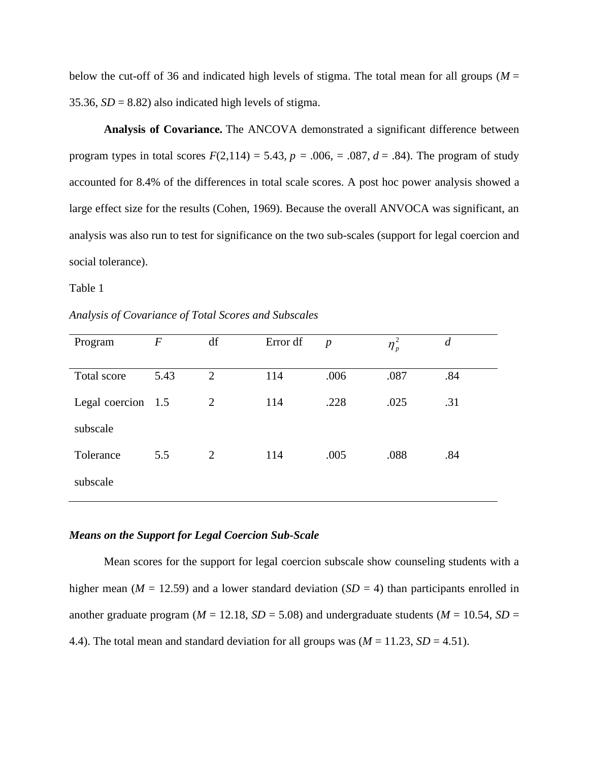below the cut-off of 36 and indicated high levels of stigma. The total mean for all groups ( $M =$ 35.36,  $SD = 8.82$ ) also indicated high levels of stigma.

**Analysis of Covariance***.* The ANCOVA demonstrated a significant difference between program types in total scores  $F(2,114) = 5.43$ ,  $p = .006$ ,  $= .087$ ,  $d = .84$ ). The program of study accounted for 8.4% of the differences in total scale scores. A post hoc power analysis showed a large effect size for the results (Cohen, 1969). Because the overall ANVOCA was significant, an analysis was also run to test for significance on the two sub-scales (support for legal coercion and social tolerance).

Table 1

*Analysis of Covariance of Total Scores and Subscales* 

| Program            | $\boldsymbol{F}$ | df             | Error df | $\boldsymbol{p}$ | $\eta_p^2$ | $\overline{d}$ |
|--------------------|------------------|----------------|----------|------------------|------------|----------------|
| Total score        | 5.43             | $\overline{2}$ | 114      | .006             | .087       | .84            |
| Legal coercion 1.5 |                  | 2              | 114      | .228             | .025       | .31            |
| subscale           |                  |                |          |                  |            |                |
| Tolerance          | 5.5              | 2              | 114      | .005             | .088       | .84            |
| subscale           |                  |                |          |                  |            |                |

# *Means on the Support for Legal Coercion Sub-Scale*

Mean scores for the support for legal coercion subscale show counseling students with a higher mean ( $M = 12.59$ ) and a lower standard deviation ( $SD = 4$ ) than participants enrolled in another graduate program ( $M = 12.18$ ,  $SD = 5.08$ ) and undergraduate students ( $M = 10.54$ ,  $SD = 10.54$ 4.4). The total mean and standard deviation for all groups was  $(M = 11.23, SD = 4.51)$ .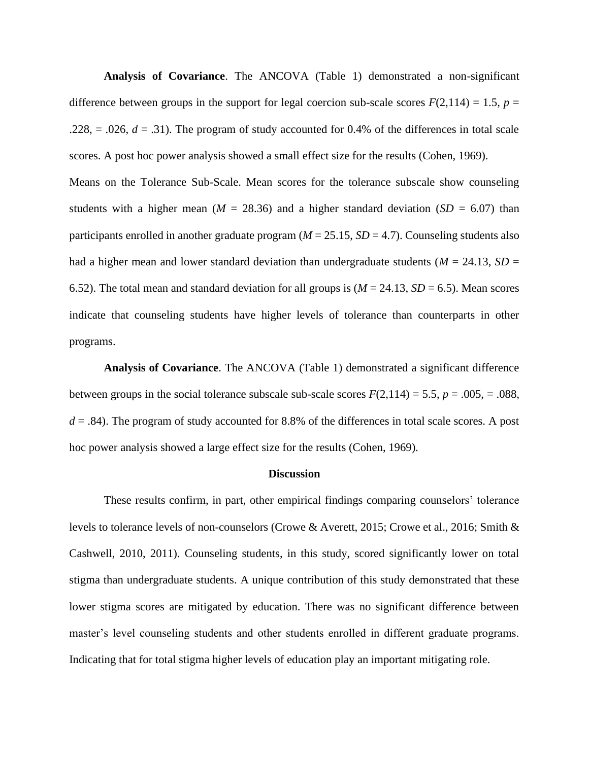**Analysis of Covariance**. The ANCOVA (Table 1) demonstrated a non-significant difference between groups in the support for legal coercion sub-scale scores  $F(2,114) = 1.5$ ,  $p =$  $.228$ ,  $= .026$ ,  $d = .31$ ). The program of study accounted for 0.4% of the differences in total scale scores. A post hoc power analysis showed a small effect size for the results (Cohen, 1969).

Means on the Tolerance Sub-Scale. Mean scores for the tolerance subscale show counseling students with a higher mean ( $M = 28.36$ ) and a higher standard deviation ( $SD = 6.07$ ) than participants enrolled in another graduate program ( $M = 25.15$ ,  $SD = 4.7$ ). Counseling students also had a higher mean and lower standard deviation than undergraduate students ( $M = 24.13$ ,  $SD =$ 6.52). The total mean and standard deviation for all groups is  $(M = 24.13, SD = 6.5)$ . Mean scores indicate that counseling students have higher levels of tolerance than counterparts in other programs.

**Analysis of Covariance**. The ANCOVA (Table 1) demonstrated a significant difference between groups in the social tolerance subscale sub-scale scores  $F(2,114) = 5.5$ ,  $p = .005$ ,  $= .088$ ,  $d = 0.84$ . The program of study accounted for 8.8% of the differences in total scale scores. A post hoc power analysis showed a large effect size for the results (Cohen, 1969).

#### **Discussion**

These results confirm, in part, other empirical findings comparing counselors' tolerance levels to tolerance levels of non-counselors (Crowe & Averett, 2015; Crowe et al., 2016; Smith & Cashwell, 2010, 2011). Counseling students, in this study, scored significantly lower on total stigma than undergraduate students. A unique contribution of this study demonstrated that these lower stigma scores are mitigated by education. There was no significant difference between master's level counseling students and other students enrolled in different graduate programs. Indicating that for total stigma higher levels of education play an important mitigating role.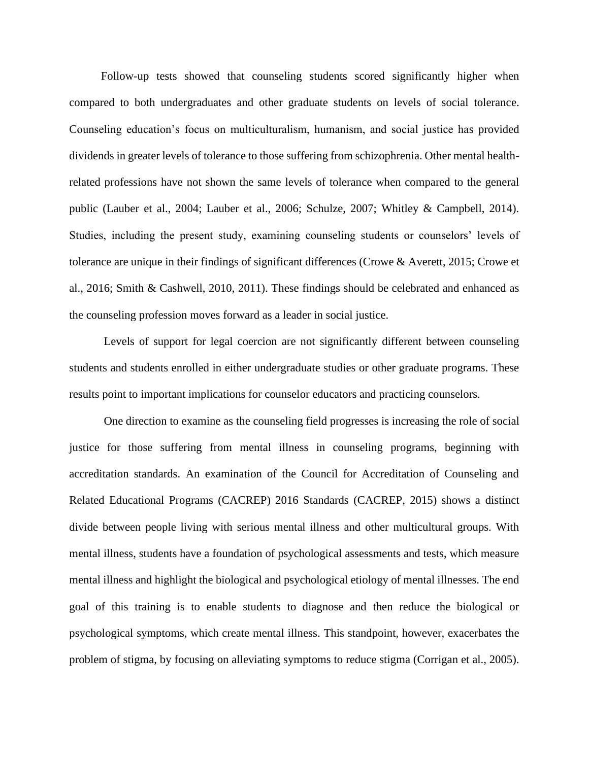Follow-up tests showed that counseling students scored significantly higher when compared to both undergraduates and other graduate students on levels of social tolerance. Counseling education's focus on multiculturalism, humanism, and social justice has provided dividends in greater levels of tolerance to those suffering from schizophrenia. Other mental healthrelated professions have not shown the same levels of tolerance when compared to the general public (Lauber et al., 2004; Lauber et al., 2006; Schulze, 2007; Whitley & Campbell, 2014). Studies, including the present study, examining counseling students or counselors' levels of tolerance are unique in their findings of significant differences (Crowe & Averett, 2015; Crowe et al., 2016; Smith & Cashwell, 2010, 2011). These findings should be celebrated and enhanced as the counseling profession moves forward as a leader in social justice.

Levels of support for legal coercion are not significantly different between counseling students and students enrolled in either undergraduate studies or other graduate programs. These results point to important implications for counselor educators and practicing counselors.

One direction to examine as the counseling field progresses is increasing the role of social justice for those suffering from mental illness in counseling programs, beginning with accreditation standards. An examination of the Council for Accreditation of Counseling and Related Educational Programs (CACREP) 2016 Standards (CACREP, 2015) shows a distinct divide between people living with serious mental illness and other multicultural groups. With mental illness, students have a foundation of psychological assessments and tests, which measure mental illness and highlight the biological and psychological etiology of mental illnesses. The end goal of this training is to enable students to diagnose and then reduce the biological or psychological symptoms, which create mental illness. This standpoint, however, exacerbates the problem of stigma, by focusing on alleviating symptoms to reduce stigma (Corrigan et al., 2005).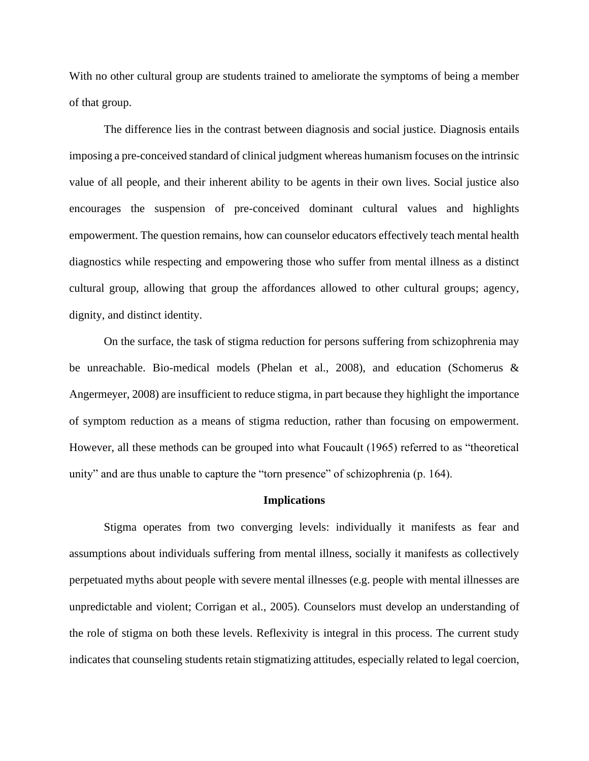With no other cultural group are students trained to ameliorate the symptoms of being a member of that group.

The difference lies in the contrast between diagnosis and social justice. Diagnosis entails imposing a pre-conceived standard of clinical judgment whereas humanism focuses on the intrinsic value of all people, and their inherent ability to be agents in their own lives. Social justice also encourages the suspension of pre-conceived dominant cultural values and highlights empowerment. The question remains, how can counselor educators effectively teach mental health diagnostics while respecting and empowering those who suffer from mental illness as a distinct cultural group, allowing that group the affordances allowed to other cultural groups; agency, dignity, and distinct identity.

On the surface, the task of stigma reduction for persons suffering from schizophrenia may be unreachable. Bio-medical models (Phelan et al., 2008), and education (Schomerus & Angermeyer, 2008) are insufficient to reduce stigma, in part because they highlight the importance of symptom reduction as a means of stigma reduction, rather than focusing on empowerment. However, all these methods can be grouped into what Foucault (1965) referred to as "theoretical unity" and are thus unable to capture the "torn presence" of schizophrenia (p. 164).

# **Implications**

Stigma operates from two converging levels: individually it manifests as fear and assumptions about individuals suffering from mental illness, socially it manifests as collectively perpetuated myths about people with severe mental illnesses (e.g. people with mental illnesses are unpredictable and violent; Corrigan et al., 2005). Counselors must develop an understanding of the role of stigma on both these levels. Reflexivity is integral in this process. The current study indicates that counseling students retain stigmatizing attitudes, especially related to legal coercion,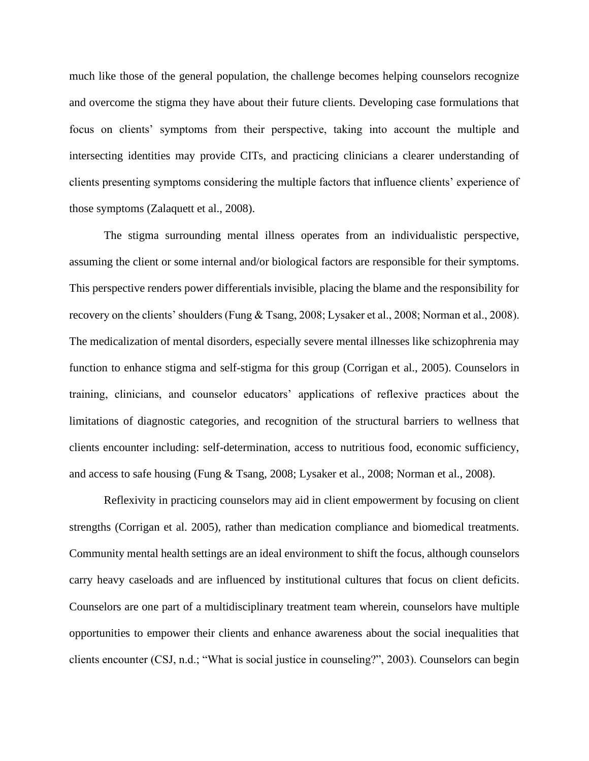much like those of the general population, the challenge becomes helping counselors recognize and overcome the stigma they have about their future clients. Developing case formulations that focus on clients' symptoms from their perspective, taking into account the multiple and intersecting identities may provide CITs, and practicing clinicians a clearer understanding of clients presenting symptoms considering the multiple factors that influence clients' experience of those symptoms (Zalaquett et al., 2008).

The stigma surrounding mental illness operates from an individualistic perspective, assuming the client or some internal and/or biological factors are responsible for their symptoms. This perspective renders power differentials invisible, placing the blame and the responsibility for recovery on the clients' shoulders (Fung & Tsang, 2008; Lysaker et al., 2008; Norman et al., 2008). The medicalization of mental disorders, especially severe mental illnesses like schizophrenia may function to enhance stigma and self-stigma for this group (Corrigan et al., 2005). Counselors in training, clinicians, and counselor educators' applications of reflexive practices about the limitations of diagnostic categories, and recognition of the structural barriers to wellness that clients encounter including: self-determination, access to nutritious food, economic sufficiency, and access to safe housing (Fung & Tsang, 2008; Lysaker et al., 2008; Norman et al., 2008).

Reflexivity in practicing counselors may aid in client empowerment by focusing on client strengths (Corrigan et al. 2005), rather than medication compliance and biomedical treatments. Community mental health settings are an ideal environment to shift the focus, although counselors carry heavy caseloads and are influenced by institutional cultures that focus on client deficits. Counselors are one part of a multidisciplinary treatment team wherein, counselors have multiple opportunities to empower their clients and enhance awareness about the social inequalities that clients encounter (CSJ, n.d.; "What is social justice in counseling?", 2003). Counselors can begin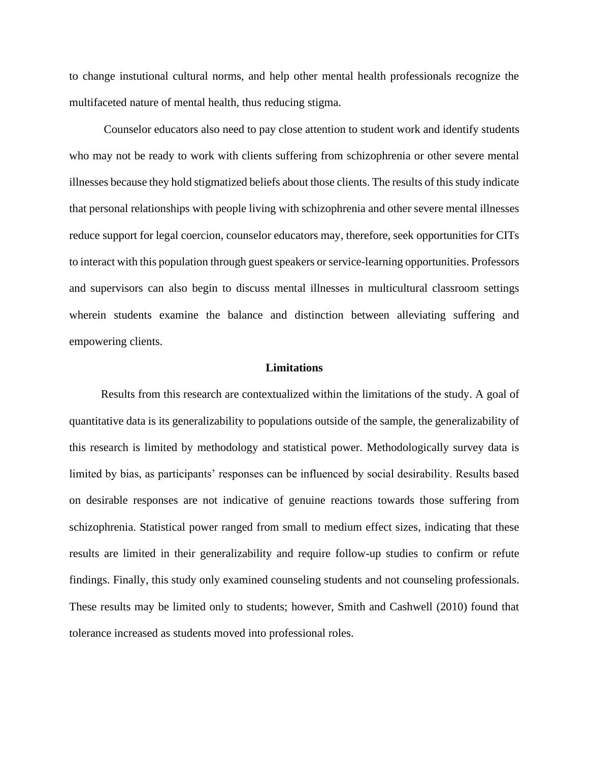to change instutional cultural norms, and help other mental health professionals recognize the multifaceted nature of mental health, thus reducing stigma.

Counselor educators also need to pay close attention to student work and identify students who may not be ready to work with clients suffering from schizophrenia or other severe mental illnesses because they hold stigmatized beliefs about those clients. The results of this study indicate that personal relationships with people living with schizophrenia and other severe mental illnesses reduce support for legal coercion, counselor educators may, therefore, seek opportunities for CITs to interact with this population through guest speakers or service-learning opportunities. Professors and supervisors can also begin to discuss mental illnesses in multicultural classroom settings wherein students examine the balance and distinction between alleviating suffering and empowering clients.

# **Limitations**

 Results from this research are contextualized within the limitations of the study. A goal of quantitative data is its generalizability to populations outside of the sample, the generalizability of this research is limited by methodology and statistical power. Methodologically survey data is limited by bias, as participants' responses can be influenced by social desirability. Results based on desirable responses are not indicative of genuine reactions towards those suffering from schizophrenia. Statistical power ranged from small to medium effect sizes, indicating that these results are limited in their generalizability and require follow-up studies to confirm or refute findings. Finally, this study only examined counseling students and not counseling professionals. These results may be limited only to students; however, Smith and Cashwell (2010) found that tolerance increased as students moved into professional roles.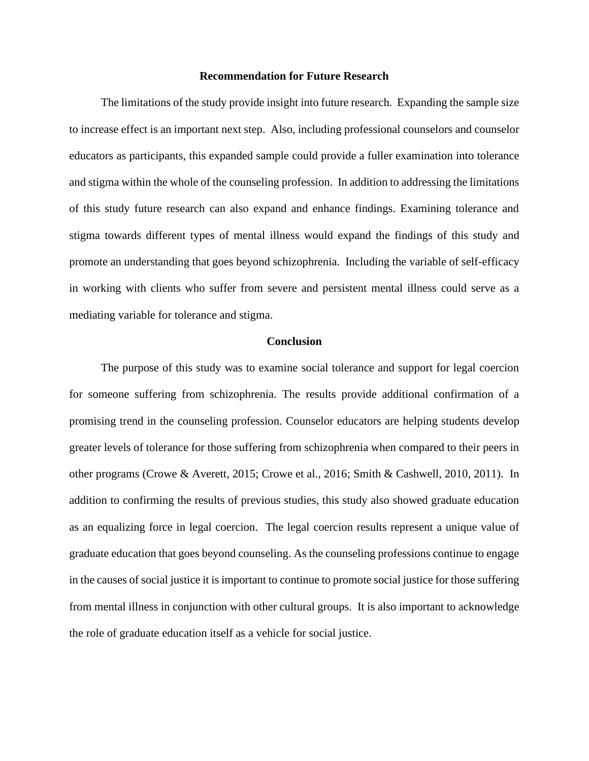# **Recommendation for Future Research**

 The limitations of the study provide insight into future research. Expanding the sample size to increase effect is an important next step. Also, including professional counselors and counselor educators as participants, this expanded sample could provide a fuller examination into tolerance and stigma within the whole of the counseling profession. In addition to addressing the limitations of this study future research can also expand and enhance findings. Examining tolerance and stigma towards different types of mental illness would expand the findings of this study and promote an understanding that goes beyond schizophrenia. Including the variable of self-efficacy in working with clients who suffer from severe and persistent mental illness could serve as a mediating variable for tolerance and stigma.

# **Conclusion**

 The purpose of this study was to examine social tolerance and support for legal coercion for someone suffering from schizophrenia. The results provide additional confirmation of a promising trend in the counseling profession. Counselor educators are helping students develop greater levels of tolerance for those suffering from schizophrenia when compared to their peers in other programs (Crowe & Averett, 2015; Crowe et al., 2016; Smith & Cashwell, 2010, 2011). In addition to confirming the results of previous studies, this study also showed graduate education as an equalizing force in legal coercion. The legal coercion results represent a unique value of graduate education that goes beyond counseling. As the counseling professions continue to engage in the causes of social justice it is important to continue to promote social justice for those suffering from mental illness in conjunction with other cultural groups. It is also important to acknowledge the role of graduate education itself as a vehicle for social justice.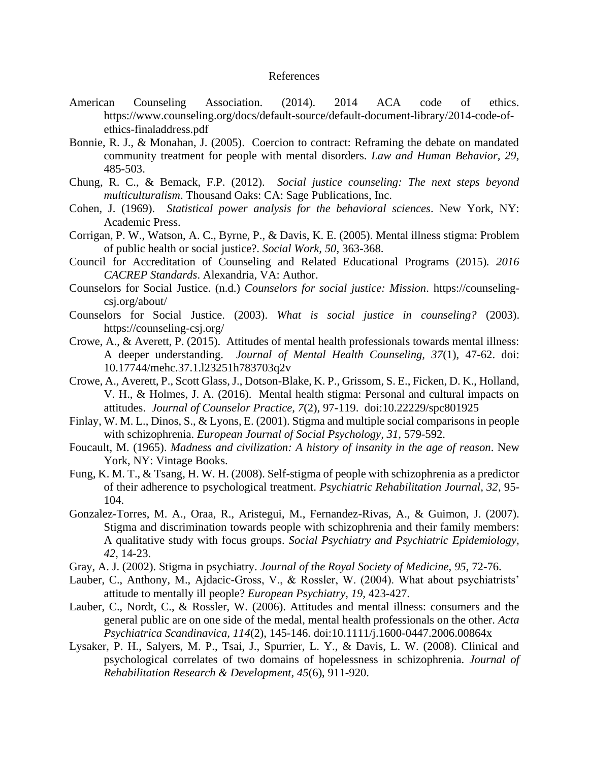#### References

- American Counseling Association. (2014). 2014 ACA code of ethics. https://www.counseling.org/docs/default-source/default-document-library/2014-code-ofethics-finaladdress.pdf
- Bonnie, R. J., & Monahan, J. (2005). Coercion to contract: Reframing the debate on mandated community treatment for people with mental disorders. *Law and Human Behavior, 29,*  485-503.
- Chung, R. C., & Bemack, F.P. (2012). *Social justice counseling: The next steps beyond multiculturalism*. Thousand Oaks: CA: Sage Publications, Inc.
- Cohen, J. (1969). *Statistical power analysis for the behavioral sciences*. New York, NY: Academic Press.
- Corrigan, P. W., Watson, A. C., Byrne, P., & Davis, K. E. (2005). Mental illness stigma: Problem of public health or social justice?. *Social Work, 50*, 363-368.
- Council for Accreditation of Counseling and Related Educational Programs (2015)*. 2016 CACREP Standards*. Alexandria, VA: Author.
- Counselors for Social Justice. (n.d.) *Counselors for social justice: Mission*. https://counselingcsj.org/about/
- Counselors for Social Justice. (2003). *What is social justice in counseling?* (2003). https://counseling-csj.org/
- Crowe, A., & Averett, P. (2015). Attitudes of mental health professionals towards mental illness: A deeper understanding. *Journal of Mental Health Counseling, 37*(1), 47-62. doi: 10.17744/mehc.37.1.l23251h783703q2v
- Crowe, A., Averett, P., Scott Glass, J., Dotson-Blake, K. P., Grissom, S. E., Ficken, D. K., Holland, V. H., & Holmes, J. A. (2016). Mental health stigma: Personal and cultural impacts on attitudes. *Journal of Counselor Practice, 7*(2), 97-119. doi:10.22229/spc801925
- Finlay, W. M. L., Dinos, S., & Lyons, E. (2001). Stigma and multiple social comparisons in people with schizophrenia. *European Journal of Social Psychology, 31*, 579-592.
- Foucault, M. (1965). *Madness and civilization: A history of insanity in the age of reason*. New York, NY: Vintage Books.
- Fung, K. M. T., & Tsang, H. W. H. (2008). Self-stigma of people with schizophrenia as a predictor of their adherence to psychological treatment. *Psychiatric Rehabilitation Journal, 32*, 95- 104.
- Gonzalez-Torres, M. A., Oraa, R., Aristegui, M., Fernandez-Rivas, A., & Guimon, J. (2007). Stigma and discrimination towards people with schizophrenia and their family members: A qualitative study with focus groups. *Social Psychiatry and Psychiatric Epidemiology, 42*, 14-23.
- Gray, A. J. (2002). Stigma in psychiatry. *Journal of the Royal Society of Medicine, 95*, 72-76.
- Lauber, C., Anthony, M., Ajdacic-Gross, V., & Rossler, W. (2004). What about psychiatrists' attitude to mentally ill people? *European Psychiatry, 19,* 423-427.
- Lauber, C., Nordt, C., & Rossler, W. (2006). Attitudes and mental illness: consumers and the general public are on one side of the medal, mental health professionals on the other. *Acta Psychiatrica Scandinavica, 114*(2), 145-146. doi:10.1111/j.1600-0447.2006.00864x
- Lysaker, P. H., Salyers, M. P., Tsai, J., Spurrier, L. Y., & Davis, L. W. (2008). Clinical and psychological correlates of two domains of hopelessness in schizophrenia. *Journal of Rehabilitation Research & Development, 45*(6), 911-920.